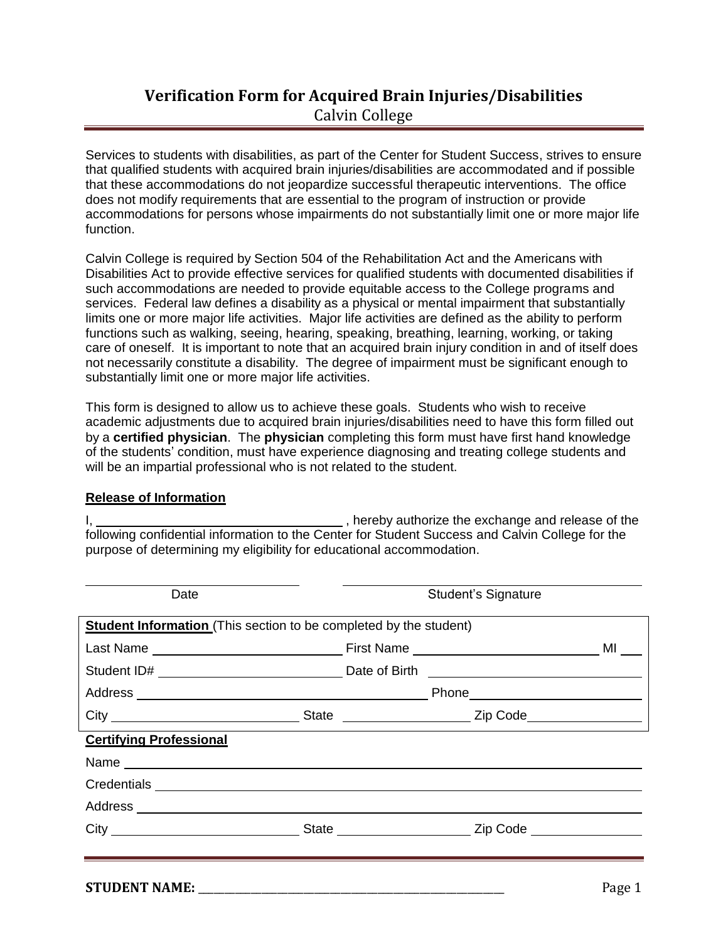## **Verification Form for Acquired Brain Injuries/Disabilities** Calvin College

Services to students with disabilities, as part of the Center for Student Success, strives to ensure that qualified students with acquired brain injuries/disabilities are accommodated and if possible that these accommodations do not jeopardize successful therapeutic interventions. The office does not modify requirements that are essential to the program of instruction or provide accommodations for persons whose impairments do not substantially limit one or more major life function.

Calvin College is required by Section 504 of the Rehabilitation Act and the Americans with Disabilities Act to provide effective services for qualified students with documented disabilities if such accommodations are needed to provide equitable access to the College programs and services. Federal law defines a disability as a physical or mental impairment that substantially limits one or more major life activities. Major life activities are defined as the ability to perform functions such as walking, seeing, hearing, speaking, breathing, learning, working, or taking care of oneself. It is important to note that an acquired brain injury condition in and of itself does not necessarily constitute a disability. The degree of impairment must be significant enough to substantially limit one or more major life activities.

This form is designed to allow us to achieve these goals. Students who wish to receive academic adjustments due to acquired brain injuries/disabilities need to have this form filled out by a **certified physician**. The **physician** completing this form must have first hand knowledge of the students' condition, must have experience diagnosing and treating college students and will be an impartial professional who is not related to the student.

## **Release of Information**

I, 1. All the exchange and release of the state of the state of the state of the state of the state of the state of the state of the state of the state of the state of the state of the state of the state of the state of th following confidential information to the Center for Student Success and Calvin College for the purpose of determining my eligibility for educational accommodation.

| Date                           |                                                                          | <b>Student's Signature</b> |  |  |
|--------------------------------|--------------------------------------------------------------------------|----------------------------|--|--|
|                                | <b>Student Information</b> (This section to be completed by the student) |                            |  |  |
|                                |                                                                          |                            |  |  |
|                                |                                                                          |                            |  |  |
|                                |                                                                          |                            |  |  |
|                                |                                                                          |                            |  |  |
| <b>Certifying Professional</b> |                                                                          |                            |  |  |
|                                |                                                                          |                            |  |  |
|                                |                                                                          |                            |  |  |
|                                |                                                                          |                            |  |  |
|                                |                                                                          |                            |  |  |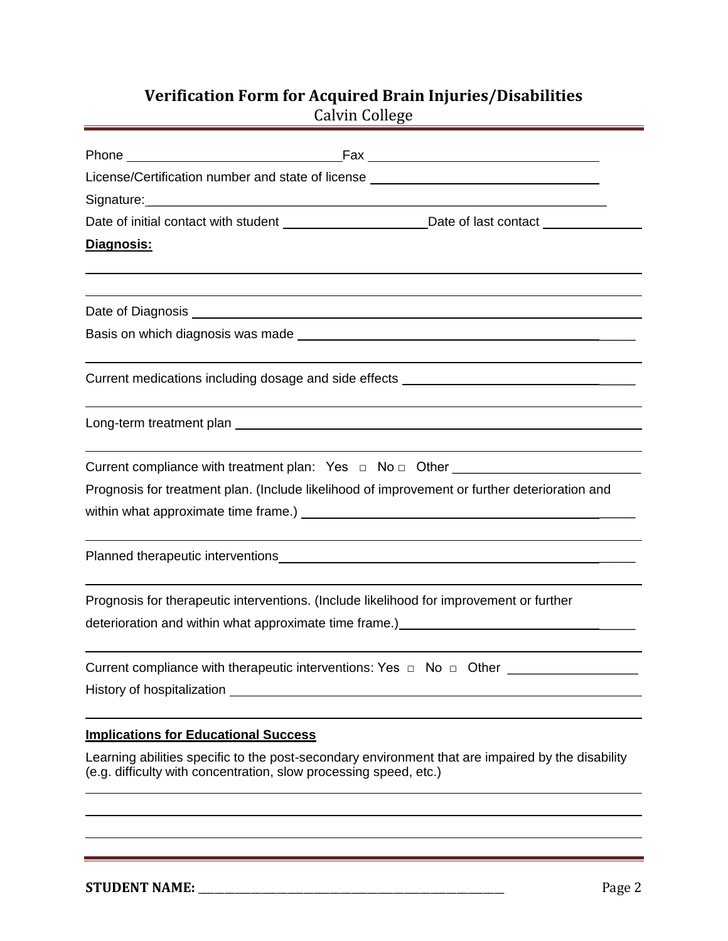## **Verification Form for Acquired Brain Injuries/Disabilities** Calvin College

| License/Certification number and state of license ______________________________                                                                                       |
|------------------------------------------------------------------------------------------------------------------------------------------------------------------------|
| Signature: Management Communication of the Signature:                                                                                                                  |
| Date of initial contact with student example and parameters of last contact example and parameters of last contact                                                     |
| Diagnosis:                                                                                                                                                             |
| Date of Diagnosis experience and the property of the contract of the contract of the contract of the contract of                                                       |
|                                                                                                                                                                        |
| Current medications including dosage and side effects ___________________________                                                                                      |
|                                                                                                                                                                        |
|                                                                                                                                                                        |
| Prognosis for treatment plan. (Include likelihood of improvement or further deterioration and                                                                          |
|                                                                                                                                                                        |
|                                                                                                                                                                        |
| Prognosis for therapeutic interventions. (Include likelihood for improvement or further                                                                                |
| deterioration and within what approximate time frame.)<br>example and the state of the frame.                                                                          |
| Current compliance with therapeutic interventions: Yes □ No □ Other ___________________                                                                                |
|                                                                                                                                                                        |
| <b>Implications for Educational Success</b>                                                                                                                            |
| Learning abilities specific to the post-secondary environment that are impaired by the disability<br>(e.g. difficulty with concentration, slow processing speed, etc.) |
|                                                                                                                                                                        |